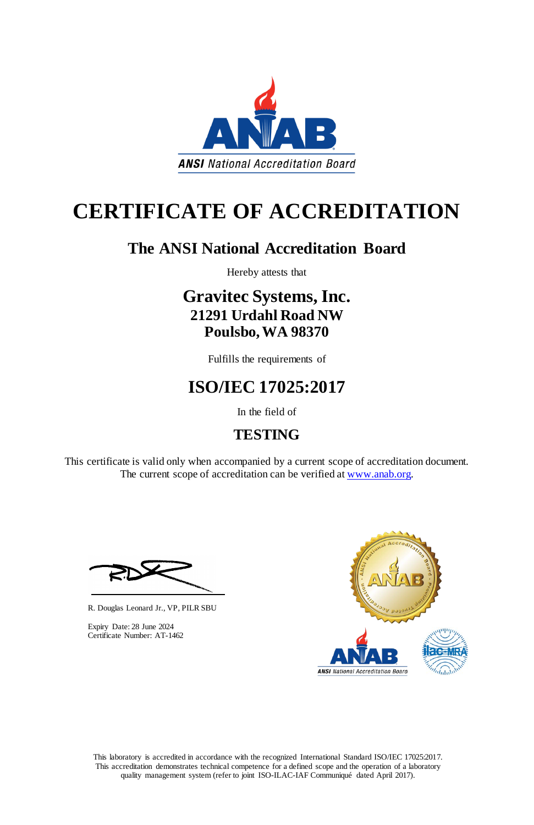This laboratory is accredited in accordance with the recognized International Standard ISO/IEC 17025:2017. This accreditation demonstrates technical competence for a defined scope and the operation of a laboratory quality management system (refer to joint ISO-ILAC-IAF Communiqué dated April 2017).

This certificate is valid only when accompanied by a current scope of accreditation document. The current scope of accreditation can be verified at [www.anab.org.](http://www.anab.org/)







# **CERTIFICATE OF ACCREDITATION**

### **The ANSI National Accreditation Board**

Hereby attests that

### **Gravitec Systems, Inc. 21291 Urdahl Road NW Poulsbo, WA 98370**

Fulfills the requirements of

## **ISO/IEC 17025:2017**

In the field of

### **TESTING**

R. Douglas Leonard Jr., VP, PILR SBU

Expiry Date: 28 June 2024 Certificate Number: AT-1462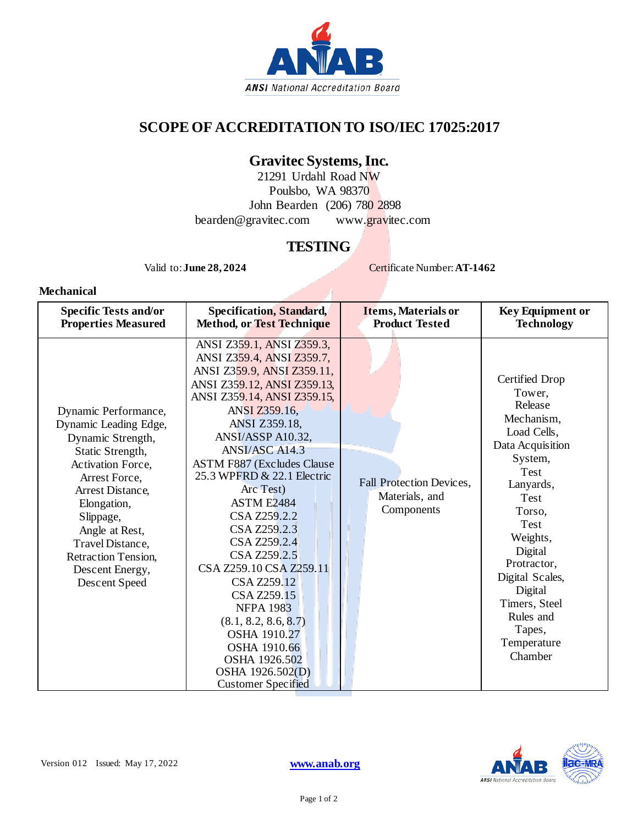

#### **SCOPE OF ACCREDITATION TO ISO/IEC 17025:2017**

#### **Gravitec Systems, Inc.**

21291 Urdahl Road NW Poulsbo, WA 98370 John Bearden (206) 780 2898 bearden@gravitec.com [www.gravitec.com](http://www.gravitec.com/)

#### **TESTING**

 $\mathcal{A}$ 

Valid to: **June 28, 2024** Certificate Number: **AT-1462** 

**Mechanical**

| <b>Specific Tests and/or</b>                                                                                                                                                                                                                                                         | <b>Specification, Standard,</b>                                                                                                                                                                                                                                                                                                                                                                                                                                                                                                                                                                                       | Items, Materials or                                             | <b>Key Equipment or</b>                                                                                                                                                                                                                                                              |
|--------------------------------------------------------------------------------------------------------------------------------------------------------------------------------------------------------------------------------------------------------------------------------------|-----------------------------------------------------------------------------------------------------------------------------------------------------------------------------------------------------------------------------------------------------------------------------------------------------------------------------------------------------------------------------------------------------------------------------------------------------------------------------------------------------------------------------------------------------------------------------------------------------------------------|-----------------------------------------------------------------|--------------------------------------------------------------------------------------------------------------------------------------------------------------------------------------------------------------------------------------------------------------------------------------|
| <b>Properties Measured</b>                                                                                                                                                                                                                                                           | <b>Method, or Test Technique</b>                                                                                                                                                                                                                                                                                                                                                                                                                                                                                                                                                                                      | <b>Product Tested</b>                                           | <b>Technology</b>                                                                                                                                                                                                                                                                    |
| Dynamic Performance,<br>Dynamic Leading Edge,<br>Dynamic Strength,<br>Static Strength,<br>Activation Force,<br>Arrest Force,<br>Arrest Distance,<br>Elongation,<br>Slippage,<br>Angle at Rest,<br>Travel Distance,<br><b>Retraction Tension,</b><br>Descent Energy,<br>Descent Speed | ANSI Z359.1, ANSI Z359.3,<br>ANSI Z359.4, ANSI Z359.7,<br>ANSI Z359.9, ANSI Z359.11,<br>ANSI Z359.12, ANSI Z359.13,<br>ANSI Z359.14, ANSI Z359.15,<br>ANSI Z359.16,<br><b>ANSI Z359.18,</b><br>ANSI/ASSP A10.32,<br>ANSI/ASC A14.3<br><b>ASTM F887 (Excludes Clause</b><br>25.3 WPFRD & 22.1 Electric<br>Arc Test)<br><b>ASTM E2484</b><br>CSA Z259.2.2<br>CSA Z259.2.3<br>CSA Z259.2.4<br>CSA Z259.2.5<br>CSA Z259.10 CSA Z259.11<br>CSA Z259.12<br>CSA Z259.15<br><b>NFPA 1983</b><br>(8.1, 8.2, 8.6, 8.7)<br><b>OSHA 1910.27</b><br>OSHA 1910.66<br>OSHA 1926.502<br>OSHA 1926.502(D)<br><b>Customer Specified</b> | <b>Fall Protection Devices,</b><br>Materials, and<br>Components | Certified Drop<br>Tower.<br>Release<br>Mechanism,<br>Load Cells,<br>Data Acquisition<br>System,<br>Test<br>Lanyards,<br>Test<br>Torso,<br>Test<br>Weights,<br>Digital<br>Protractor,<br>Digital Scales,<br>Digital<br>Timers, Steel<br>Rules and<br>Tapes,<br>Temperature<br>Chamber |